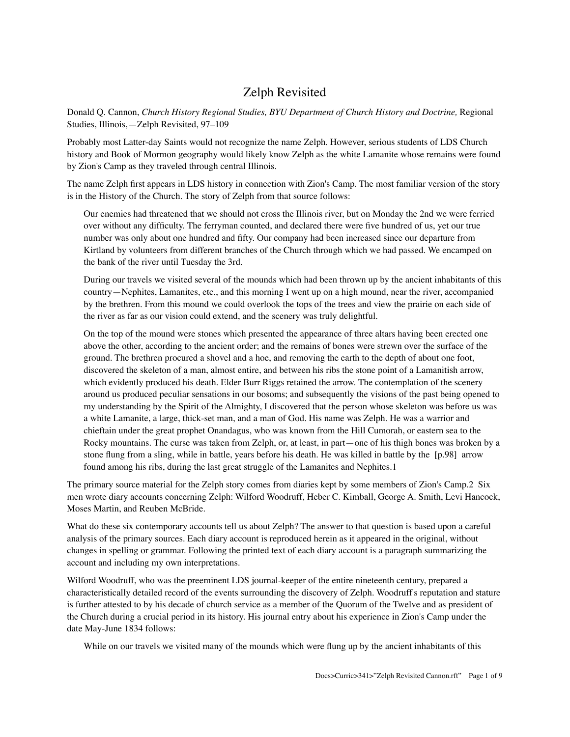## Zelph Revisited

Donald Q. Cannon, *Church History Regional Studies, BYU Department of Church History and Doctrine,* Regional Studies, Illinois,—Zelph Revisited, 97–109

Probably most Latter-day Saints would not recognize the name Zelph. However, serious students of LDS Church history and Book of Mormon geography would likely know Zelph as the white Lamanite whose remains were found by Zion's Camp as they traveled through central Illinois.

The name Zelph first appears in LDS history in connection with Zion's Camp. The most familiar version of the story is in the History of the Church. The story of Zelph from that source follows:

Our enemies had threatened that we should not cross the Illinois river, but on Monday the 2nd we were ferried over without any difficulty. The ferryman counted, and declared there were five hundred of us, yet our true number was only about one hundred and fifty. Our company had been increased since our departure from Kirtland by volunteers from different branches of the Church through which we had passed. We encamped on the bank of the river until Tuesday the 3rd.

During our travels we visited several of the mounds which had been thrown up by the ancient inhabitants of this country—Nephites, Lamanites, etc., and this morning I went up on a high mound, near the river, accompanied by the brethren. From this mound we could overlook the tops of the trees and view the prairie on each side of the river as far as our vision could extend, and the scenery was truly delightful.

On the top of the mound were stones which presented the appearance of three altars having been erected one above the other, according to the ancient order; and the remains of bones were strewn over the surface of the ground. The brethren procured a shovel and a hoe, and removing the earth to the depth of about one foot, discovered the skeleton of a man, almost entire, and between his ribs the stone point of a Lamanitish arrow, which evidently produced his death. Elder Burr Riggs retained the arrow. The contemplation of the scenery around us produced peculiar sensations in our bosoms; and subsequently the visions of the past being opened to my understanding by the Spirit of the Almighty, I discovered that the person whose skeleton was before us was a white Lamanite, a large, thick-set man, and a man of God. His name was Zelph. He was a warrior and chieftain under the great prophet Onandagus, who was known from the Hill Cumorah, or eastern sea to the Rocky mountains. The curse was taken from Zelph, or, at least, in part—one of his thigh bones was broken by a stone flung from a sling, while in battle, years before his death. He was killed in battle by the [p.98] arrow found among his ribs, during the last great struggle of the Lamanites and Nephites.1

The primary source material for the Zelph story comes from diaries kept by some members of Zion's Camp.2 Six men wrote diary accounts concerning Zelph: Wilford Woodruff, Heber C. Kimball, George A. Smith, Levi Hancock, Moses Martin, and Reuben McBride.

What do these six contemporary accounts tell us about Zelph? The answer to that question is based upon a careful analysis of the primary sources. Each diary account is reproduced herein as it appeared in the original, without changes in spelling or grammar. Following the printed text of each diary account is a paragraph summarizing the account and including my own interpretations.

Wilford Woodruff, who was the preeminent LDS journal-keeper of the entire nineteenth century, prepared a characteristically detailed record of the events surrounding the discovery of Zelph. Woodruff's reputation and stature is further attested to by his decade of church service as a member of the Quorum of the Twelve and as president of the Church during a crucial period in its history. His journal entry about his experience in Zion's Camp under the date May-June 1834 follows:

While on our travels we visited many of the mounds which were flung up by the ancient inhabitants of this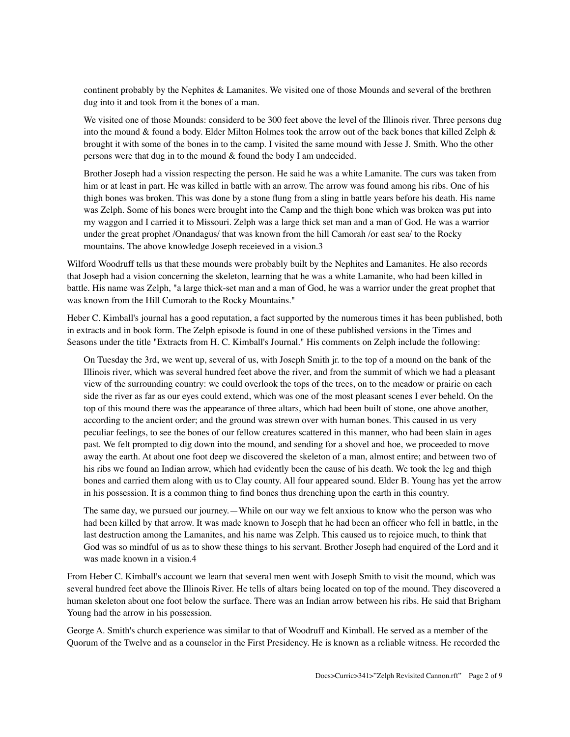continent probably by the Nephites & Lamanites. We visited one of those Mounds and several of the brethren dug into it and took from it the bones of a man.

We visited one of those Mounds: considerd to be 300 feet above the level of the Illinois river. Three persons dug into the mound & found a body. Elder Milton Holmes took the arrow out of the back bones that killed Zelph & brought it with some of the bones in to the camp. I visited the same mound with Jesse J. Smith. Who the other persons were that dug in to the mound & found the body I am undecided.

Brother Joseph had a vission respecting the person. He said he was a white Lamanite. The curs was taken from him or at least in part. He was killed in battle with an arrow. The arrow was found among his ribs. One of his thigh bones was broken. This was done by a stone flung from a sling in battle years before his death. His name was Zelph. Some of his bones were brought into the Camp and the thigh bone which was broken was put into my waggon and I carried it to Missouri. Zelph was a large thick set man and a man of God. He was a warrior under the great prophet /Onandagus/ that was known from the hill Camorah /or east sea/ to the Rocky mountains. The above knowledge Joseph receieved in a vision.3

Wilford Woodruff tells us that these mounds were probably built by the Nephites and Lamanites. He also records that Joseph had a vision concerning the skeleton, learning that he was a white Lamanite, who had been killed in battle. His name was Zelph, "a large thick-set man and a man of God, he was a warrior under the great prophet that was known from the Hill Cumorah to the Rocky Mountains."

Heber C. Kimball's journal has a good reputation, a fact supported by the numerous times it has been published, both in extracts and in book form. The Zelph episode is found in one of these published versions in the Times and Seasons under the title "Extracts from H. C. Kimball's Journal." His comments on Zelph include the following:

On Tuesday the 3rd, we went up, several of us, with Joseph Smith jr. to the top of a mound on the bank of the Illinois river, which was several hundred feet above the river, and from the summit of which we had a pleasant view of the surrounding country: we could overlook the tops of the trees, on to the meadow or prairie on each side the river as far as our eyes could extend, which was one of the most pleasant scenes I ever beheld. On the top of this mound there was the appearance of three altars, which had been built of stone, one above another, according to the ancient order; and the ground was strewn over with human bones. This caused in us very peculiar feelings, to see the bones of our fellow creatures scattered in this manner, who had been slain in ages past. We felt prompted to dig down into the mound, and sending for a shovel and hoe, we proceeded to move away the earth. At about one foot deep we discovered the skeleton of a man, almost entire; and between two of his ribs we found an Indian arrow, which had evidently been the cause of his death. We took the leg and thigh bones and carried them along with us to Clay county. All four appeared sound. Elder B. Young has yet the arrow in his possession. It is a common thing to find bones thus drenching upon the earth in this country.

The same day, we pursued our journey.—While on our way we felt anxious to know who the person was who had been killed by that arrow. It was made known to Joseph that he had been an officer who fell in battle, in the last destruction among the Lamanites, and his name was Zelph. This caused us to rejoice much, to think that God was so mindful of us as to show these things to his servant. Brother Joseph had enquired of the Lord and it was made known in a vision.4

From Heber C. Kimball's account we learn that several men went with Joseph Smith to visit the mound, which was several hundred feet above the Illinois River. He tells of altars being located on top of the mound. They discovered a human skeleton about one foot below the surface. There was an Indian arrow between his ribs. He said that Brigham Young had the arrow in his possession.

George A. Smith's church experience was similar to that of Woodruff and Kimball. He served as a member of the Quorum of the Twelve and as a counselor in the First Presidency. He is known as a reliable witness. He recorded the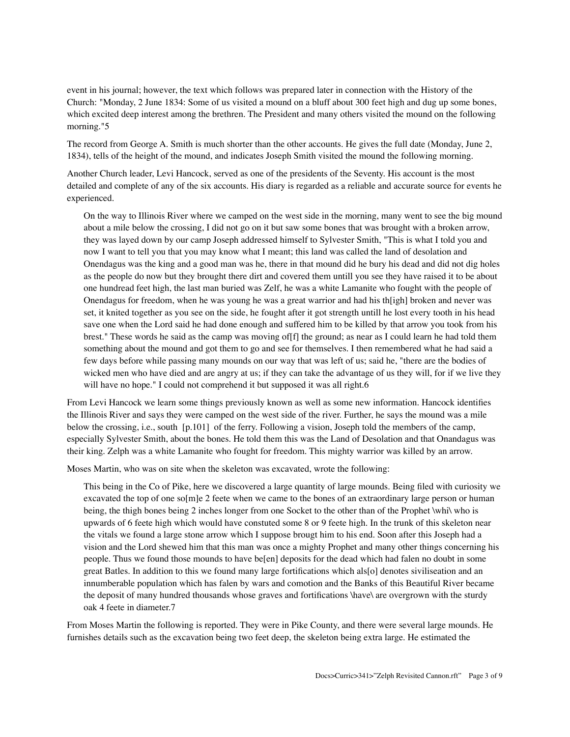event in his journal; however, the text which follows was prepared later in connection with the History of the Church: "Monday, 2 June 1834: Some of us visited a mound on a bluff about 300 feet high and dug up some bones, which excited deep interest among the brethren. The President and many others visited the mound on the following morning."5

The record from George A. Smith is much shorter than the other accounts. He gives the full date (Monday, June 2, 1834), tells of the height of the mound, and indicates Joseph Smith visited the mound the following morning.

Another Church leader, Levi Hancock, served as one of the presidents of the Seventy. His account is the most detailed and complete of any of the six accounts. His diary is regarded as a reliable and accurate source for events he experienced.

On the way to Illinois River where we camped on the west side in the morning, many went to see the big mound about a mile below the crossing, I did not go on it but saw some bones that was brought with a broken arrow, they was layed down by our camp Joseph addressed himself to Sylvester Smith, "This is what I told you and now I want to tell you that you may know what I meant; this land was called the land of desolation and Onendagus was the king and a good man was he, there in that mound did he bury his dead and did not dig holes as the people do now but they brought there dirt and covered them untill you see they have raised it to be about one hundread feet high, the last man buried was Zelf, he was a white Lamanite who fought with the people of Onendagus for freedom, when he was young he was a great warrior and had his th[igh] broken and never was set, it knited together as you see on the side, he fought after it got strength untill he lost every tooth in his head save one when the Lord said he had done enough and suffered him to be killed by that arrow you took from his brest." These words he said as the camp was moving of[f] the ground; as near as I could learn he had told them something about the mound and got them to go and see for themselves. I then remembered what he had said a few days before while passing many mounds on our way that was left of us; said he, "there are the bodies of wicked men who have died and are angry at us; if they can take the advantage of us they will, for if we live they will have no hope." I could not comprehend it but supposed it was all right.6

From Levi Hancock we learn some things previously known as well as some new information. Hancock identifies the Illinois River and says they were camped on the west side of the river. Further, he says the mound was a mile below the crossing, i.e., south [p.101] of the ferry. Following a vision, Joseph told the members of the camp, especially Sylvester Smith, about the bones. He told them this was the Land of Desolation and that Onandagus was their king. Zelph was a white Lamanite who fought for freedom. This mighty warrior was killed by an arrow.

Moses Martin, who was on site when the skeleton was excavated, wrote the following:

This being in the Co of Pike, here we discovered a large quantity of large mounds. Being filed with curiosity we excavated the top of one so $[m]e$  2 feete when we came to the bones of an extraordinary large person or human being, the thigh bones being 2 inches longer from one Socket to the other than of the Prophet \whi\ who is upwards of 6 feete high which would have constuted some 8 or 9 feete high. In the trunk of this skeleton near the vitals we found a large stone arrow which I suppose brougt him to his end. Soon after this Joseph had a vision and the Lord shewed him that this man was once a mighty Prophet and many other things concerning his people. Thus we found those mounds to have be[en] deposits for the dead which had falen no doubt in some great Batles. In addition to this we found many large fortifications which als[o] denotes siviliseation and an innumberable population which has falen by wars and comotion and the Banks of this Beautiful River became the deposit of many hundred thousands whose graves and fortifications \have\ are overgrown with the sturdy oak 4 feete in diameter.7

From Moses Martin the following is reported. They were in Pike County, and there were several large mounds. He furnishes details such as the excavation being two feet deep, the skeleton being extra large. He estimated the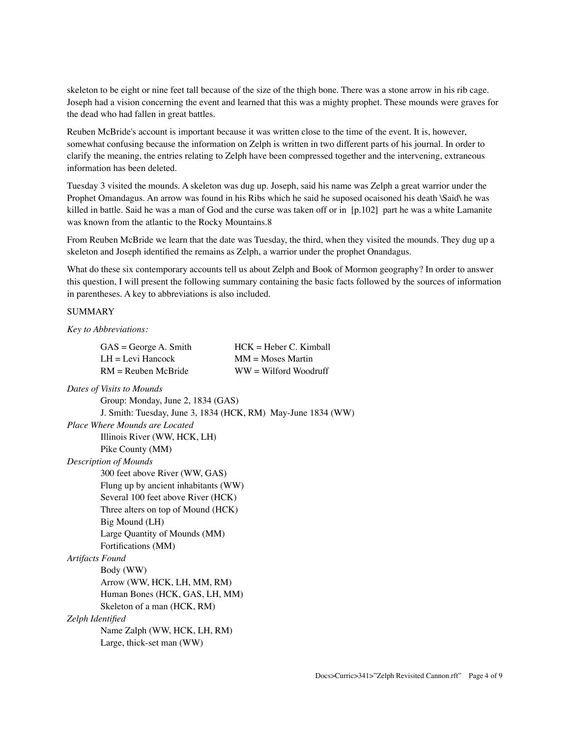skeleton to be eight or nine feet tall because of the size of the thigh bone. There was a stone arrow in his rib cage. Joseph had a vision concerning the event and learned that this was a mighty prophet. These mounds were graves for the dead who had fallen in great battles.

Reuben McBride's account is important because it was written close to the time of the event. It is, however, somewhat confusing because the information on Zelph is written in two different parts of his journal. In order to clarify the meaning, the entries relating to Zelph have been compressed together and the intervening, extraneous information has been deleted.

Tuesday 3 visited the mounds. A skeleton was dug up. Joseph, said his name was Zelph a great warrior under the Prophet Omandagus. An arrow was found in his Ribs which he said he suposed ocaisoned his death \Said\ he was killed in battle. Said he was a man of God and the curse was taken off or in [p.102] part he was a white Lamanite was known from the atlantic to the Rocky Mountains.8

From Reuben McBride we learn that the date was Tuesday, the third, when they visited the mounds. They dug up a skeleton and Joseph identified the remains as Zelph, a warrior under the prophet Onandagus.

What do these six contemporary accounts tell us about Zelph and Book of Mormon geography? In order to answer this question, I will present the following summary containing the basic facts followed by the sources of information in parentheses. A key to abbreviations is also included.

## SUMMARY

*Key to Abbreviations:*

| $GAS = George A$ . Smith | $HCK = Heber C.$ Kimball |
|--------------------------|--------------------------|
| $LH = Levi Hancock$      | $MM = Moses$ Martin      |
| $RM =$ Reuben McBride    | $WW = Wilford Woodruff$  |

| Dates of Visits to Mounds                                    |
|--------------------------------------------------------------|
| Group: Monday, June 2, 1834 (GAS)                            |
| J. Smith: Tuesday, June 3, 1834 (HCK, RM) May-June 1834 (WW) |
| Place Where Mounds are Located                               |
| Illinois River (WW, HCK, LH)                                 |
| Pike County (MM)                                             |
| <b>Description of Mounds</b>                                 |
| 300 feet above River (WW, GAS)                               |
| Flung up by ancient inhabitants (WW)                         |
| Several 100 feet above River (HCK)                           |
| Three alters on top of Mound (HCK)                           |
| Big Mound (LH)                                               |
| Large Quantity of Mounds (MM)                                |
| Fortifications (MM)                                          |
| <b>Artifacts Found</b>                                       |
| Body (WW)                                                    |
| Arrow (WW, HCK, LH, MM, RM)                                  |
| Human Bones (HCK, GAS, LH, MM)                               |
| Skeleton of a man (HCK, RM)                                  |
| Zelph Identified                                             |
| Name Zalph (WW, HCK, LH, RM)                                 |
| Large, thick-set man (WW)                                    |
|                                                              |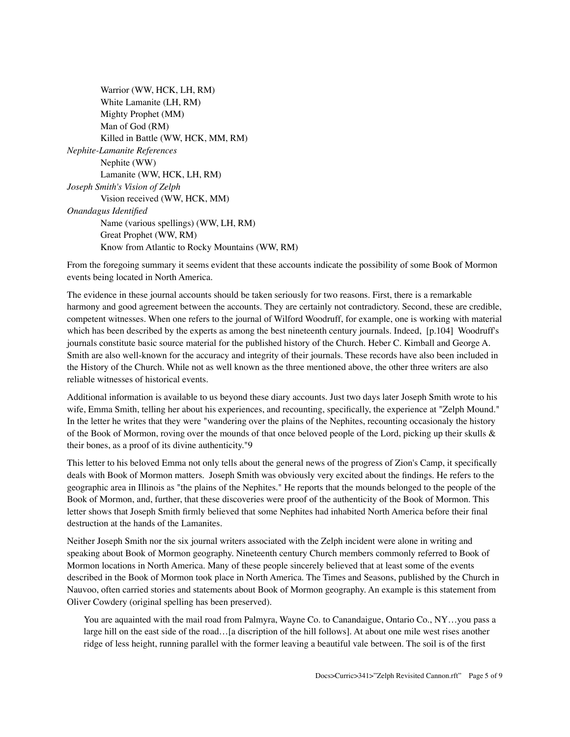From the foregoing summary it seems evident that these accounts indicate the possibility of some Book of Mormon events being located in North America.

The evidence in these journal accounts should be taken seriously for two reasons. First, there is a remarkable harmony and good agreement between the accounts. They are certainly not contradictory. Second, these are credible, competent witnesses. When one refers to the journal of Wilford Woodruff, for example, one is working with material which has been described by the experts as among the best nineteenth century journals. Indeed, [p.104] Woodruff's journals constitute basic source material for the published history of the Church. Heber C. Kimball and George A. Smith are also well-known for the accuracy and integrity of their journals. These records have also been included in the History of the Church. While not as well known as the three mentioned above, the other three writers are also reliable witnesses of historical events.

Additional information is available to us beyond these diary accounts. Just two days later Joseph Smith wrote to his wife, Emma Smith, telling her about his experiences, and recounting, specifically, the experience at "Zelph Mound." In the letter he writes that they were "wandering over the plains of the Nephites, recounting occasionaly the history of the Book of Mormon, roving over the mounds of that once beloved people of the Lord, picking up their skulls & their bones, as a proof of its divine authenticity."9

This letter to his beloved Emma not only tells about the general news of the progress of Zion's Camp, it specifically deals with Book of Mormon matters. Joseph Smith was obviously very excited about the findings. He refers to the geographic area in Illinois as "the plains of the Nephites." He reports that the mounds belonged to the people of the Book of Mormon, and, further, that these discoveries were proof of the authenticity of the Book of Mormon. This letter shows that Joseph Smith firmly believed that some Nephites had inhabited North America before their final destruction at the hands of the Lamanites.

Neither Joseph Smith nor the six journal writers associated with the Zelph incident were alone in writing and speaking about Book of Mormon geography. Nineteenth century Church members commonly referred to Book of Mormon locations in North America. Many of these people sincerely believed that at least some of the events described in the Book of Mormon took place in North America. The Times and Seasons, published by the Church in Nauvoo, often carried stories and statements about Book of Mormon geography. An example is this statement from Oliver Cowdery (original spelling has been preserved).

You are aquainted with the mail road from Palmyra, Wayne Co. to Canandaigue, Ontario Co., NY…you pass a large hill on the east side of the road…[a discription of the hill follows]. At about one mile west rises another ridge of less height, running parallel with the former leaving a beautiful vale between. The soil is of the first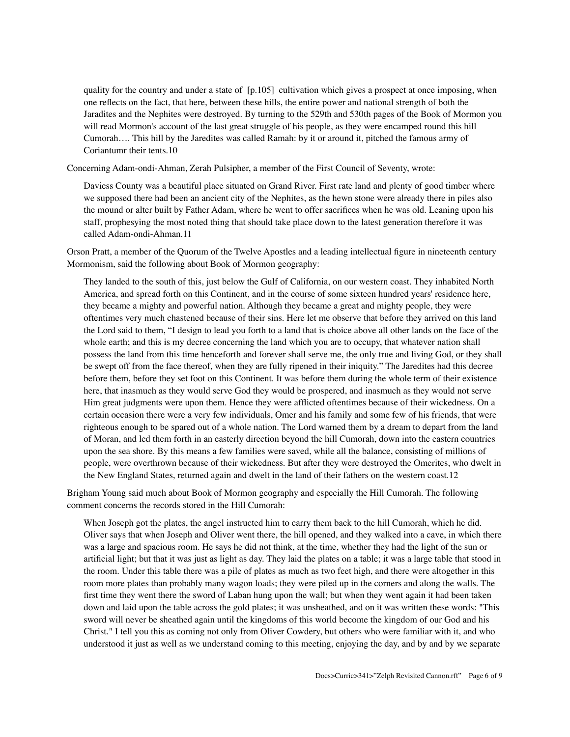quality for the country and under a state of [p.105] cultivation which gives a prospect at once imposing, when one reflects on the fact, that here, between these hills, the entire power and national strength of both the Jaradites and the Nephites were destroyed. By turning to the 529th and 530th pages of the Book of Mormon you will read Mormon's account of the last great struggle of his people, as they were encamped round this hill Cumorah…. This hill by the Jaredites was called Ramah: by it or around it, pitched the famous army of Coriantumr their tents.10

Concerning Adam-ondi-Ahman, Zerah Pulsipher, a member of the First Council of Seventy, wrote:

Daviess County was a beautiful place situated on Grand River. First rate land and plenty of good timber where we supposed there had been an ancient city of the Nephites, as the hewn stone were already there in piles also the mound or alter built by Father Adam, where he went to offer sacrifices when he was old. Leaning upon his staff, prophesying the most noted thing that should take place down to the latest generation therefore it was called Adam-ondi-Ahman.11

Orson Pratt, a member of the Quorum of the Twelve Apostles and a leading intellectual figure in nineteenth century Mormonism, said the following about Book of Mormon geography:

They landed to the south of this, just below the Gulf of California, on our western coast. They inhabited North America, and spread forth on this Continent, and in the course of some sixteen hundred years' residence here, they became a mighty and powerful nation. Although they became a great and mighty people, they were oftentimes very much chastened because of their sins. Here let me observe that before they arrived on this land the Lord said to them, "I design to lead you forth to a land that is choice above all other lands on the face of the whole earth; and this is my decree concerning the land which you are to occupy, that whatever nation shall possess the land from this time henceforth and forever shall serve me, the only true and living God, or they shall be swept off from the face thereof, when they are fully ripened in their iniquity." The Jaredites had this decree before them, before they set foot on this Continent. It was before them during the whole term of their existence here, that inasmuch as they would serve God they would be prospered, and inasmuch as they would not serve Him great judgments were upon them. Hence they were afflicted oftentimes because of their wickedness. On a certain occasion there were a very few individuals, Omer and his family and some few of his friends, that were righteous enough to be spared out of a whole nation. The Lord warned them by a dream to depart from the land of Moran, and led them forth in an easterly direction beyond the hill Cumorah, down into the eastern countries upon the sea shore. By this means a few families were saved, while all the balance, consisting of millions of people, were overthrown because of their wickedness. But after they were destroyed the Omerites, who dwelt in the New England States, returned again and dwelt in the land of their fathers on the western coast.12

Brigham Young said much about Book of Mormon geography and especially the Hill Cumorah. The following comment concerns the records stored in the Hill Cumorah:

When Joseph got the plates, the angel instructed him to carry them back to the hill Cumorah, which he did. Oliver says that when Joseph and Oliver went there, the hill opened, and they walked into a cave, in which there was a large and spacious room. He says he did not think, at the time, whether they had the light of the sun or artificial light; but that it was just as light as day. They laid the plates on a table; it was a large table that stood in the room. Under this table there was a pile of plates as much as two feet high, and there were altogether in this room more plates than probably many wagon loads; they were piled up in the corners and along the walls. The first time they went there the sword of Laban hung upon the wall; but when they went again it had been taken down and laid upon the table across the gold plates; it was unsheathed, and on it was written these words: "This sword will never be sheathed again until the kingdoms of this world become the kingdom of our God and his Christ." I tell you this as coming not only from Oliver Cowdery, but others who were familiar with it, and who understood it just as well as we understand coming to this meeting, enjoying the day, and by and by we separate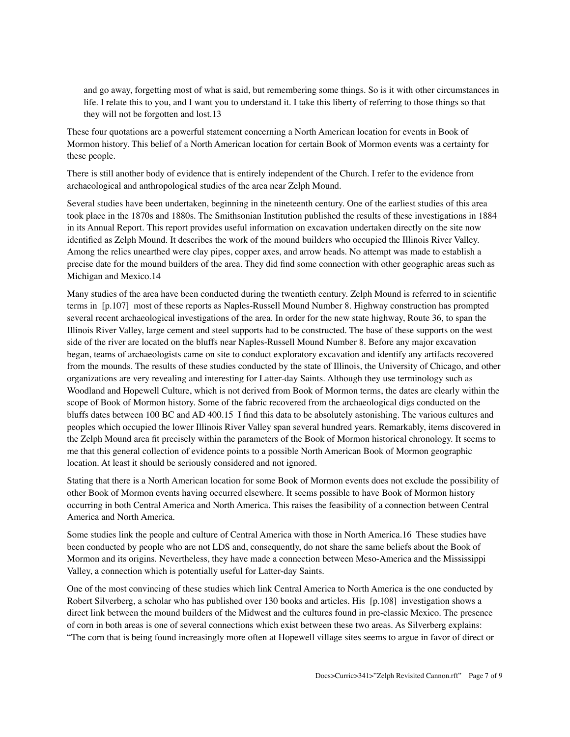and go away, forgetting most of what is said, but remembering some things. So is it with other circumstances in life. I relate this to you, and I want you to understand it. I take this liberty of referring to those things so that they will not be forgotten and lost.13

These four quotations are a powerful statement concerning a North American location for events in Book of Mormon history. This belief of a North American location for certain Book of Mormon events was a certainty for these people.

There is still another body of evidence that is entirely independent of the Church. I refer to the evidence from archaeological and anthropological studies of the area near Zelph Mound.

Several studies have been undertaken, beginning in the nineteenth century. One of the earliest studies of this area took place in the 1870s and 1880s. The Smithsonian Institution published the results of these investigations in 1884 in its Annual Report. This report provides useful information on excavation undertaken directly on the site now identified as Zelph Mound. It describes the work of the mound builders who occupied the Illinois River Valley. Among the relics unearthed were clay pipes, copper axes, and arrow heads. No attempt was made to establish a precise date for the mound builders of the area. They did find some connection with other geographic areas such as Michigan and Mexico.14

Many studies of the area have been conducted during the twentieth century. Zelph Mound is referred to in scientific terms in [p.107] most of these reports as Naples-Russell Mound Number 8. Highway construction has prompted several recent archaeological investigations of the area. In order for the new state highway, Route 36, to span the Illinois River Valley, large cement and steel supports had to be constructed. The base of these supports on the west side of the river are located on the bluffs near Naples-Russell Mound Number 8. Before any major excavation began, teams of archaeologists came on site to conduct exploratory excavation and identify any artifacts recovered from the mounds. The results of these studies conducted by the state of Illinois, the University of Chicago, and other organizations are very revealing and interesting for Latter-day Saints. Although they use terminology such as Woodland and Hopewell Culture, which is not derived from Book of Mormon terms, the dates are clearly within the scope of Book of Mormon history. Some of the fabric recovered from the archaeological digs conducted on the bluffs dates between 100 BC and AD 400.15 I find this data to be absolutely astonishing. The various cultures and peoples which occupied the lower Illinois River Valley span several hundred years. Remarkably, items discovered in the Zelph Mound area fit precisely within the parameters of the Book of Mormon historical chronology. It seems to me that this general collection of evidence points to a possible North American Book of Mormon geographic location. At least it should be seriously considered and not ignored.

Stating that there is a North American location for some Book of Mormon events does not exclude the possibility of other Book of Mormon events having occurred elsewhere. It seems possible to have Book of Mormon history occurring in both Central America and North America. This raises the feasibility of a connection between Central America and North America.

Some studies link the people and culture of Central America with those in North America.16 These studies have been conducted by people who are not LDS and, consequently, do not share the same beliefs about the Book of Mormon and its origins. Nevertheless, they have made a connection between Meso-America and the Mississippi Valley, a connection which is potentially useful for Latter-day Saints.

One of the most convincing of these studies which link Central America to North America is the one conducted by Robert Silverberg, a scholar who has published over 130 books and articles. His [p.108] investigation shows a direct link between the mound builders of the Midwest and the cultures found in pre-classic Mexico. The presence of corn in both areas is one of several connections which exist between these two areas. As Silverberg explains: "The corn that is being found increasingly more often at Hopewell village sites seems to argue in favor of direct or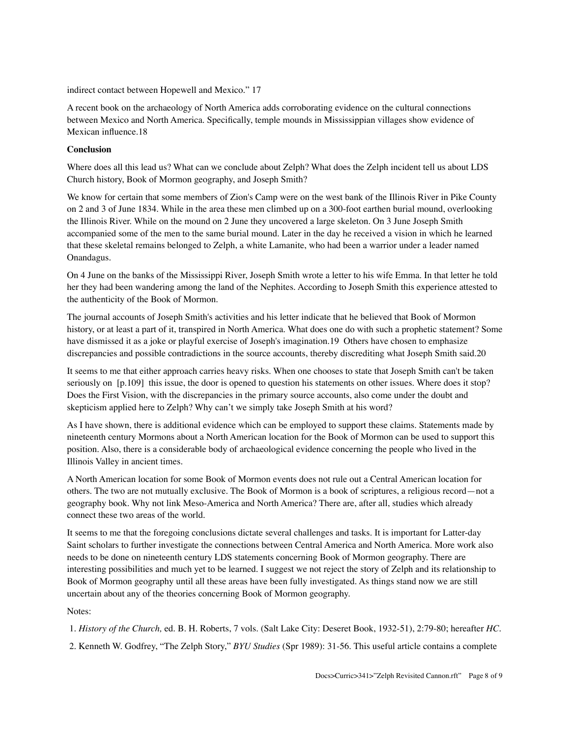indirect contact between Hopewell and Mexico." 17

A recent book on the archaeology of North America adds corroborating evidence on the cultural connections between Mexico and North America. Specifically, temple mounds in Mississippian villages show evidence of Mexican influence.18

## **Conclusion**

Where does all this lead us? What can we conclude about Zelph? What does the Zelph incident tell us about LDS Church history, Book of Mormon geography, and Joseph Smith?

We know for certain that some members of Zion's Camp were on the west bank of the Illinois River in Pike County on 2 and 3 of June 1834. While in the area these men climbed up on a 300-foot earthen burial mound, overlooking the Illinois River. While on the mound on 2 June they uncovered a large skeleton. On 3 June Joseph Smith accompanied some of the men to the same burial mound. Later in the day he received a vision in which he learned that these skeletal remains belonged to Zelph, a white Lamanite, who had been a warrior under a leader named Onandagus.

On 4 June on the banks of the Mississippi River, Joseph Smith wrote a letter to his wife Emma. In that letter he told her they had been wandering among the land of the Nephites. According to Joseph Smith this experience attested to the authenticity of the Book of Mormon.

The journal accounts of Joseph Smith's activities and his letter indicate that he believed that Book of Mormon history, or at least a part of it, transpired in North America. What does one do with such a prophetic statement? Some have dismissed it as a joke or playful exercise of Joseph's imagination.19 Others have chosen to emphasize discrepancies and possible contradictions in the source accounts, thereby discrediting what Joseph Smith said.20

It seems to me that either approach carries heavy risks. When one chooses to state that Joseph Smith can't be taken seriously on [p.109] this issue, the door is opened to question his statements on other issues. Where does it stop? Does the First Vision, with the discrepancies in the primary source accounts, also come under the doubt and skepticism applied here to Zelph? Why can't we simply take Joseph Smith at his word?

As I have shown, there is additional evidence which can be employed to support these claims. Statements made by nineteenth century Mormons about a North American location for the Book of Mormon can be used to support this position. Also, there is a considerable body of archaeological evidence concerning the people who lived in the Illinois Valley in ancient times.

A North American location for some Book of Mormon events does not rule out a Central American location for others. The two are not mutually exclusive. The Book of Mormon is a book of scriptures, a religious record—not a geography book. Why not link Meso-America and North America? There are, after all, studies which already connect these two areas of the world.

It seems to me that the foregoing conclusions dictate several challenges and tasks. It is important for Latter-day Saint scholars to further investigate the connections between Central America and North America. More work also needs to be done on nineteenth century LDS statements concerning Book of Mormon geography. There are interesting possibilities and much yet to be learned. I suggest we not reject the story of Zelph and its relationship to Book of Mormon geography until all these areas have been fully investigated. As things stand now we are still uncertain about any of the theories concerning Book of Mormon geography.

Notes:

1. *History of the Church,* ed. B. H. Roberts, 7 vols. (Salt Lake City: Deseret Book, 1932-51), 2:79-80; hereafter *HC.*

2. Kenneth W. Godfrey, "The Zelph Story," *BYU Studies* (Spr 1989): 31-56. This useful article contains a complete